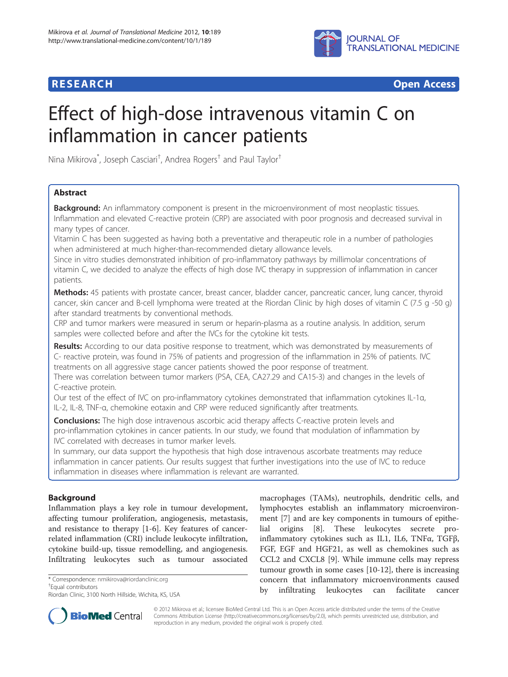

**RESEARCH CHEAR CHEAR CHEAR CHEAR CHEAR CHEAR CHEAR CHEAR CHEAR CHEAR CHEAR CHEAR CHEAR CHEAR CHEAR CHEAR CHEAR** 

# Effect of high-dose intravenous vitamin C on inflammation in cancer patients

Nina Mikirova\* , Joseph Casciari† , Andrea Rogers† and Paul Taylor†

# Abstract

Background: An inflammatory component is present in the microenvironment of most neoplastic tissues. Inflammation and elevated C-reactive protein (CRP) are associated with poor prognosis and decreased survival in many types of cancer.

Vitamin C has been suggested as having both a preventative and therapeutic role in a number of pathologies when administered at much higher-than-recommended dietary allowance levels.

Since in vitro studies demonstrated inhibition of pro-inflammatory pathways by millimolar concentrations of vitamin C, we decided to analyze the effects of high dose IVC therapy in suppression of inflammation in cancer patients.

Methods: 45 patients with prostate cancer, breast cancer, bladder cancer, pancreatic cancer, lung cancer, thyroid cancer, skin cancer and B-cell lymphoma were treated at the Riordan Clinic by high doses of vitamin C (7.5 g -50 g) after standard treatments by conventional methods.

CRP and tumor markers were measured in serum or heparin-plasma as a routine analysis. In addition, serum samples were collected before and after the IVCs for the cytokine kit tests.

Results: According to our data positive response to treatment, which was demonstrated by measurements of C- reactive protein, was found in 75% of patients and progression of the inflammation in 25% of patients. IVC treatments on all aggressive stage cancer patients showed the poor response of treatment.

There was correlation between tumor markers (PSA, CEA, CA27.29 and CA15-3) and changes in the levels of C-reactive protein.

Our test of the effect of IVC on pro-inflammatory cytokines demonstrated that inflammation cytokines IL-1α, IL-2, IL-8, TNF-α, chemokine eotaxin and CRP were reduced significantly after treatments.

**Conclusions:** The high dose intravenous ascorbic acid therapy affects C-reactive protein levels and pro-inflammation cytokines in cancer patients. In our study, we found that modulation of inflammation by IVC correlated with decreases in tumor marker levels.

In summary, our data support the hypothesis that high dose intravenous ascorbate treatments may reduce inflammation in cancer patients. Our results suggest that further investigations into the use of IVC to reduce inflammation in diseases where inflammation is relevant are warranted.

# Background

Inflammation plays a key role in tumour development, affecting tumour proliferation, angiogenesis, metastasis, and resistance to therapy [\[1-6](#page-8-0)]. Key features of cancerrelated inflammation (CRI) include leukocyte infiltration, cytokine build-up, tissue remodelling, and angiogenesis. Infiltrating leukocytes such as tumour associated

\* Correspondence: [nmikirova@riordanclinic.org](mailto:nmikirova@riordanclinic.org) †

Equal contributors

Riordan Clinic, 3100 North Hillside, Wichita, KS, USA

macrophages (TAMs), neutrophils, dendritic cells, and lymphocytes establish an inflammatory microenvironment [[7](#page-8-0)] and are key components in tumours of epithelial origins [\[8](#page-8-0)]. These leukocytes secrete proinflammatory cytokines such as IL1, IL6, TNFα, TGFβ, FGF, EGF and HGF21, as well as chemokines such as CCL2 and CXCL8 [[9\]](#page-8-0). While immune cells may repress tumour growth in some cases [[10](#page-8-0)-[12\]](#page-8-0), there is increasing concern that inflammatory microenvironments caused by infiltrating leukocytes can facilitate cancer



© 2012 Mikirova et al.; licensee BioMed Central Ltd. This is an Open Access article distributed under the terms of the Creative Commons Attribution License [\(http://creativecommons.org/licenses/by/2.0\)](http://creativecommons.org/licenses/by/2.0), which permits unrestricted use, distribution, and reproduction in any medium, provided the original work is properly cited.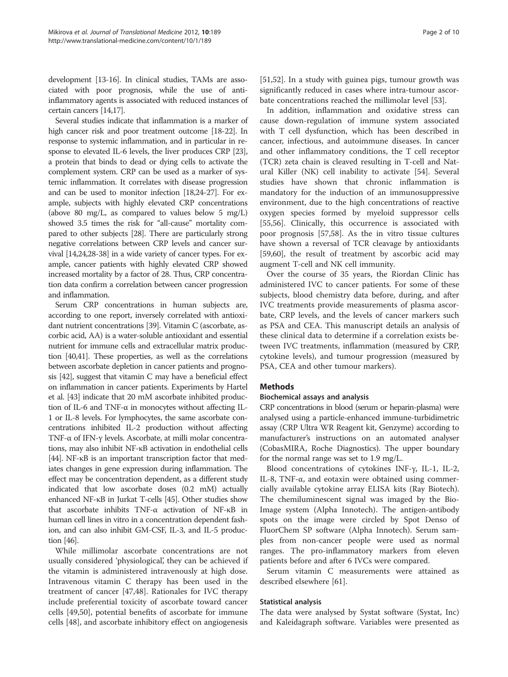development [[13](#page-8-0)-[16](#page-8-0)]. In clinical studies, TAMs are associated with poor prognosis, while the use of antiinflammatory agents is associated with reduced instances of certain cancers [[14,17\]](#page-8-0).

Several studies indicate that inflammation is a marker of high cancer risk and poor treatment outcome [[18](#page-8-0)-[22](#page-8-0)]. In response to systemic inflammation, and in particular in response to elevated IL-6 levels, the liver produces CRP [\[23](#page-8-0)], a protein that binds to dead or dying cells to activate the complement system. CRP can be used as a marker of systemic inflammation. It correlates with disease progression and can be used to monitor infection [\[18,24-27\]](#page-8-0). For example, subjects with highly elevated CRP concentrations (above 80 mg/L, as compared to values below 5 mg/L) showed 3.5 times the risk for "all-cause" mortality compared to other subjects [[28](#page-8-0)]. There are particularly strong negative correlations between CRP levels and cancer survival [\[14,24,28](#page-8-0)-[38](#page-8-0)] in a wide variety of cancer types. For example, cancer patients with highly elevated CRP showed increased mortality by a factor of 28. Thus, CRP concentration data confirm a correlation between cancer progression and inflammation.

Serum CRP concentrations in human subjects are, according to one report, inversely correlated with antioxidant nutrient concentrations [\[39\]](#page-8-0). Vitamin C (ascorbate, ascorbic acid, AA) is a water-soluble antioxidant and essential nutrient for immune cells and extracellular matrix production [[40,41](#page-8-0)]. These properties, as well as the correlations between ascorbate depletion in cancer patients and prognosis [\[42\]](#page-8-0), suggest that vitamin C may have a beneficial effect on inflammation in cancer patients. Experiments by Hartel et al. [[43](#page-8-0)] indicate that 20 mM ascorbate inhibited production of IL-6 and TNF- $\alpha$  in monocytes without affecting IL-1 or IL-8 levels. For lymphocytes, the same ascorbate concentrations inhibited IL-2 production without affecting TNF-α of IFN-γ levels. Ascorbate, at milli molar concentrations, may also inhibit NF-κB activation in endothelial cells [[44](#page-9-0)]. NF-κB is an important transcription factor that mediates changes in gene expression during inflammation. The effect may be concentration dependent, as a different study indicated that low ascorbate doses (0.2 mM) actually enhanced NF-κB in Jurkat T-cells [\[45](#page-9-0)]. Other studies show that ascorbate inhibits TNF-α activation of NF-κB in human cell lines in vitro in a concentration dependent fashion, and can also inhibit GM-CSF, IL-3, and IL-5 production [[46](#page-9-0)].

While millimolar ascorbate concentrations are not usually considered 'physiological', they can be achieved if the vitamin is administered intravenously at high dose. Intravenous vitamin C therapy has been used in the treatment of cancer [[47](#page-9-0),[48](#page-9-0)]. Rationales for IVC therapy include preferential toxicity of ascorbate toward cancer cells [\[49,50\]](#page-9-0), potential benefits of ascorbate for immune cells [\[48](#page-9-0)], and ascorbate inhibitory effect on angiogenesis

[[51,52\]](#page-9-0). In a study with guinea pigs, tumour growth was significantly reduced in cases where intra-tumour ascorbate concentrations reached the millimolar level [[53\]](#page-9-0).

In addition, inflammation and oxidative stress can cause down-regulation of immune system associated with T cell dysfunction, which has been described in cancer, infectious, and autoimmune diseases. In cancer and other inflammatory conditions, the T cell receptor (TCR) zeta chain is cleaved resulting in T-cell and Natural Killer (NK) cell inability to activate [\[54\]](#page-9-0). Several studies have shown that chronic inflammation is mandatory for the induction of an immunosuppressive environment, due to the high concentrations of reactive oxygen species formed by myeloid suppressor cells [[55,56\]](#page-9-0). Clinically, this occurrence is associated with poor prognosis [\[57,58\]](#page-9-0). As the in vitro tissue cultures have shown a reversal of TCR cleavage by antioxidants [[59,60\]](#page-9-0), the result of treatment by ascorbic acid may augment T-cell and NK cell immunity.

Over the course of 35 years, the Riordan Clinic has administered IVC to cancer patients. For some of these subjects, blood chemistry data before, during, and after IVC treatments provide measurements of plasma ascorbate, CRP levels, and the levels of cancer markers such as PSA and CEA. This manuscript details an analysis of these clinical data to determine if a correlation exists between IVC treatments, inflammation (measured by CRP, cytokine levels), and tumour progression (measured by PSA, CEA and other tumour markers).

# **Methods**

# Biochemical assays and analysis

CRP concentrations in blood (serum or heparin-plasma) were analysed using a particle-enhanced immune-turbidimetric assay (CRP Ultra WR Reagent kit, Genzyme) according to manufacturer's instructions on an automated analyser (CobasMIRA, Roche Diagnostics). The upper boundary for the normal range was set to 1.9 mg/L.

Blood concentrations of cytokines INF-γ, IL-1, IL-2, IL-8, TNF-α, and eotaxin were obtained using commercially available cytokine array ELISA kits (Ray Biotech). The chemiluminescent signal was imaged by the Bio-Image system (Alpha Innotech). The antigen-antibody spots on the image were circled by Spot Denso of FluorChem SP software (Alpha Innotech). Serum samples from non-cancer people were used as normal ranges. The pro-inflammatory markers from eleven patients before and after 6 IVCs were compared.

Serum vitamin C measurements were attained as described elsewhere [\[61](#page-9-0)].

#### Statistical analysis

The data were analysed by Systat software (Systat, Inc) and Kaleidagraph software. Variables were presented as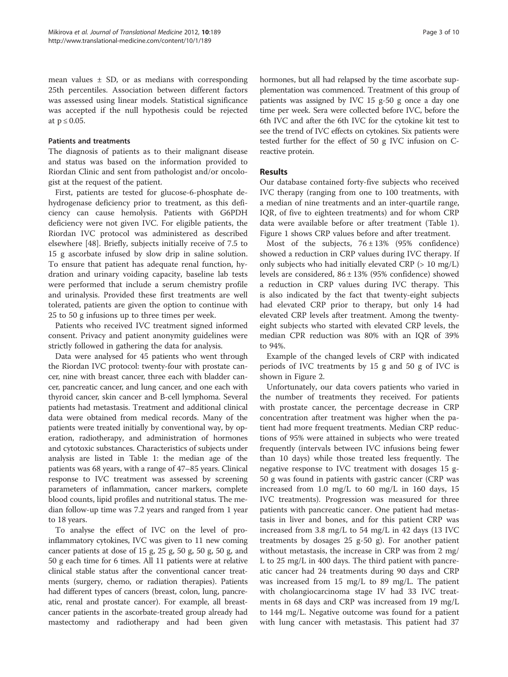mean values  $\pm$  SD, or as medians with corresponding 25th percentiles. Association between different factors was assessed using linear models. Statistical significance was accepted if the null hypothesis could be rejected at  $p \leq 0.05$ .

## Patients and treatments

The diagnosis of patients as to their malignant disease and status was based on the information provided to Riordan Clinic and sent from pathologist and/or oncologist at the request of the patient.

First, patients are tested for glucose-6-phosphate dehydrogenase deficiency prior to treatment, as this deficiency can cause hemolysis. Patients with G6PDH deficiency were not given IVC. For eligible patients, the Riordan IVC protocol was administered as described elsewhere [\[48\]](#page-9-0). Briefly, subjects initially receive of 7.5 to 15 g ascorbate infused by slow drip in saline solution. To ensure that patient has adequate renal function, hydration and urinary voiding capacity, baseline lab tests were performed that include a serum chemistry profile and urinalysis. Provided these first treatments are well tolerated, patients are given the option to continue with 25 to 50 g infusions up to three times per week.

Patients who received IVC treatment signed informed consent. Privacy and patient anonymity guidelines were strictly followed in gathering the data for analysis.

Data were analysed for 45 patients who went through the Riordan IVC protocol: twenty-four with prostate cancer, nine with breast cancer, three each with bladder cancer, pancreatic cancer, and lung cancer, and one each with thyroid cancer, skin cancer and B-cell lymphoma. Several patients had metastasis. Treatment and additional clinical data were obtained from medical records. Many of the patients were treated initially by conventional way, by operation, radiotherapy, and administration of hormones and cytotoxic substances. Characteristics of subjects under analysis are listed in Table [1:](#page-3-0) the median age of the patients was 68 years, with a range of 47–85 years. Clinical response to IVC treatment was assessed by screening parameters of inflammation, cancer markers, complete blood counts, lipid profiles and nutritional status. The median follow-up time was 7.2 years and ranged from 1 year to 18 years.

To analyse the effect of IVC on the level of proinflammatory cytokines, IVC was given to 11 new coming cancer patients at dose of 15 g, 25 g, 50 g, 50 g, 50 g, and 50 g each time for 6 times. All 11 patients were at relative clinical stable status after the conventional cancer treatments (surgery, chemo, or radiation therapies). Patients had different types of cancers (breast, colon, lung, pancreatic, renal and prostate cancer). For example, all breastcancer patients in the ascorbate-treated group already had mastectomy and radiotherapy and had been given hormones, but all had relapsed by the time ascorbate supplementation was commenced. Treatment of this group of patients was assigned by IVC 15 g-50 g once a day one time per week. Sera were collected before IVC, before the 6th IVC and after the 6th IVC for the cytokine kit test to see the trend of IVC effects on cytokines. Six patients were tested further for the effect of 50 g IVC infusion on Creactive protein.

## Results

Our database contained forty-five subjects who received IVC therapy (ranging from one to 100 treatments, with a median of nine treatments and an inter-quartile range, IQR, of five to eighteen treatments) and for whom CRP data were available before or after treatment (Table [1](#page-3-0)). Figure [1](#page-4-0) shows CRP values before and after treatment.

Most of the subjects,  $76 \pm 13\%$  (95% confidence) showed a reduction in CRP values during IVC therapy. If only subjects who had initially elevated CRP (> 10 mg/L) levels are considered, 86 ± 13% (95% confidence) showed a reduction in CRP values during IVC therapy. This is also indicated by the fact that twenty-eight subjects had elevated CRP prior to therapy, but only 14 had elevated CRP levels after treatment. Among the twentyeight subjects who started with elevated CRP levels, the median CPR reduction was 80% with an IQR of 39% to 94%.

Example of the changed levels of CRP with indicated periods of IVC treatments by 15 g and 50 g of IVC is shown in Figure [2.](#page-4-0)

Unfortunately, our data covers patients who varied in the number of treatments they received. For patients with prostate cancer, the percentage decrease in CRP concentration after treatment was higher when the patient had more frequent treatments. Median CRP reductions of 95% were attained in subjects who were treated frequently (intervals between IVC infusions being fewer than 10 days) while those treated less frequently. The negative response to IVC treatment with dosages 15 g-50 g was found in patients with gastric cancer (CRP was increased from 1.0 mg/L to 60 mg/L in 160 days, 15 IVC treatments). Progression was measured for three patients with pancreatic cancer. One patient had metastasis in liver and bones, and for this patient CRP was increased from 3.8 mg/L to 54 mg/L in 42 days (13 IVC treatments by dosages 25 g-50 g). For another patient without metastasis, the increase in CRP was from 2 mg/ L to 25 mg/L in 400 days. The third patient with pancreatic cancer had 24 treatments during 90 days and CRP was increased from 15 mg/L to 89 mg/L. The patient with cholangiocarcinoma stage IV had 33 IVC treatments in 68 days and CRP was increased from 19 mg/L to 144 mg/L. Negative outcome was found for a patient with lung cancer with metastasis. This patient had 37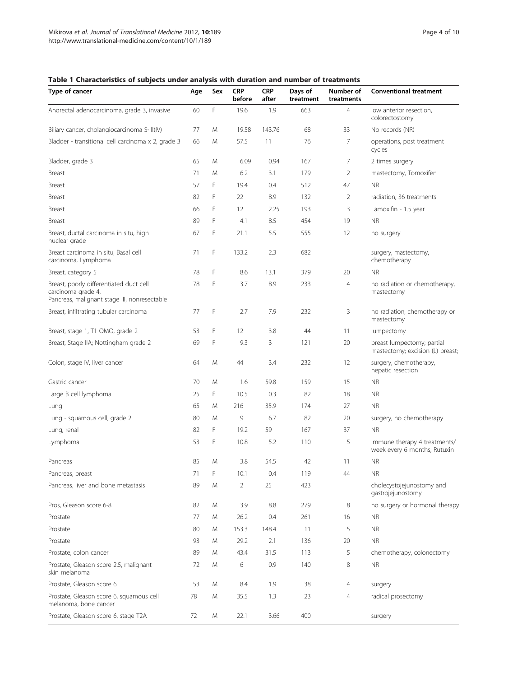# <span id="page-3-0"></span>Table 1 Characteristics of subjects under analysis with duration and number of treatments

| Type of cancer                                                                                                | Age | Sex | CRP<br>before  | <b>CRP</b><br>after | Days of<br>treatment | Number of<br>treatments | <b>Conventional treatment</b>                                  |
|---------------------------------------------------------------------------------------------------------------|-----|-----|----------------|---------------------|----------------------|-------------------------|----------------------------------------------------------------|
| Anorectal adenocarcinoma, grade 3, invasive                                                                   | 60  | F   | 19.6           | 1.9                 | 663                  | $\overline{4}$          | low anterior resection,<br>colorectostomy                      |
| Biliary cancer, cholangiocarcinoma S-III(IV)                                                                  | 77  | M   | 19.58          | 143.76              | 68                   | 33                      | No records (NR)                                                |
| Bladder - transitional cell carcinoma x 2, grade 3                                                            | 66  | M   | 57.5           | 11                  | 76                   | 7                       | operations, post treatment<br>cycles                           |
| Bladder, grade 3                                                                                              | 65  | M   | 6.09           | 0.94                | 167                  | 7                       | 2 times surgery                                                |
| <b>Breast</b>                                                                                                 | 71  | M   | 6.2            | 3.1                 | 179                  | 2                       | mastectomy, Tomoxifen                                          |
| Breast                                                                                                        | 57  | F   | 19.4           | 0.4                 | 512                  | 47                      | <b>NR</b>                                                      |
| Breast                                                                                                        | 82  | F   | 22             | 8.9                 | 132                  | 2                       | radiation, 36 treatments                                       |
| <b>Breast</b>                                                                                                 | 66  | F   | 12             | 2.25                | 193                  | 3                       | Lamoxifin - 1.5 year                                           |
| <b>Breast</b>                                                                                                 | 89  | F   | 4.1            | 8.5                 | 454                  | 19                      | <b>NR</b>                                                      |
| Breast, ductal carcinoma in situ, high<br>nuclear grade                                                       | 67  | F   | 21.1           | 5.5                 | 555                  | 12                      | no surgery                                                     |
| Breast carcinoma in situ, Basal cell<br>carcinoma, Lymphoma                                                   | 71  | F   | 133.2          | 2.3                 | 682                  |                         | surgery, mastectomy,<br>chemotherapy                           |
| Breast, category 5                                                                                            | 78  | F   | 8.6            | 13.1                | 379                  | 20                      | <b>NR</b>                                                      |
| Breast, poorly differentiated duct cell<br>carcinoma grade 4,<br>Pancreas, malignant stage III, nonresectable | 78  | F   | 3.7            | 8.9                 | 233                  | $\overline{4}$          | no radiation or chemotherapy,<br>mastectomy                    |
| Breast, infiltrating tubular carcinoma                                                                        | 77  | F   | 2.7            | 7.9                 | 232                  | 3                       | no radiation, chemotherapy or<br>mastectomy                    |
| Breast, stage 1, T1 OMO, grade 2                                                                              | 53  | F   | 12             | 3.8                 | 44                   | 11                      | lumpectomy                                                     |
| Breast, Stage IIA; Nottingham grade 2                                                                         | 69  | F   | 9.3            | 3                   | 121                  | 20                      | breast lumpectomy; partial<br>mastectomy; excision (L) breast; |
| Colon, stage IV, liver cancer                                                                                 | 64  | M   | 44             | 3.4                 | 232                  | 12                      | surgery, chemotherapy,<br>hepatic resection                    |
| Gastric cancer                                                                                                | 70  | M   | 1.6            | 59.8                | 159                  | 15                      | <b>NR</b>                                                      |
| Large B cell lymphoma                                                                                         | 25  | F   | 10.5           | 0.3                 | 82                   | 18                      | <b>NR</b>                                                      |
| Lung                                                                                                          | 65  | M   | 216            | 35.9                | 174                  | 27                      | <b>NR</b>                                                      |
| Lung - squamous cell, grade 2                                                                                 | 80  | M   | 9              | 6.7                 | 82                   | 20                      | surgery, no chemotherapy                                       |
| Lung, renal                                                                                                   | 82  | F   | 19.2           | 59                  | 167                  | 37                      | <b>NR</b>                                                      |
| Lymphoma                                                                                                      | 53  | F   | 10.8           | 5.2                 | 110                  | 5                       | Immune therapy 4 treatments/<br>week every 6 months, Rutuxin   |
| Pancreas                                                                                                      | 85  | M   | 3.8            | 54.5                | 42                   | 11                      | <b>NR</b>                                                      |
| Pancreas, breast                                                                                              | 71  | F   | 10.1           | 0.4                 | 119                  | 44                      | <b>NR</b>                                                      |
| Pancreas, liver and bone metastasis                                                                           | 89  | M   | $\overline{2}$ | 25                  | 423                  |                         | cholecystojejunostomy and<br>gastrojejunostomy                 |
| Pros, Gleason score 6-8                                                                                       | 82  | M   | 3.9            | 8.8                 | 279                  | 8                       | no surgery or hormonal therapy                                 |
| Prostate                                                                                                      | 77  | M   | 26.2           | 0.4                 | 261                  | 16                      | <b>NR</b>                                                      |
| Prostate                                                                                                      | 80  | M   | 153.3          | 148.4               | 11                   | 5                       | <b>NR</b>                                                      |
| Prostate                                                                                                      | 93  | M   | 29.2           | 2.1                 | 136                  | 20                      | <b>NR</b>                                                      |
| Prostate, colon cancer                                                                                        | 89  | M   | 43.4           | 31.5                | 113                  | 5                       | chemotherapy, colonectomy                                      |
| Prostate, Gleason score 2.5, malignant<br>skin melanoma                                                       | 72  | M   | 6              | 0.9                 | 140                  | 8                       | <b>NR</b>                                                      |
| Prostate, Gleason score 6                                                                                     | 53  | M   | 8.4            | 1.9                 | 38                   | $\overline{4}$          | surgery                                                        |
| Prostate, Gleason score 6, squamous cell<br>melanoma, bone cancer                                             | 78  | M   | 35.5           | 1.3                 | 23                   | $\overline{4}$          | radical prosectomy                                             |
| Prostate, Gleason score 6, stage T2A                                                                          | 72  | M   | 22.1           | 3.66                | 400                  |                         | surgery                                                        |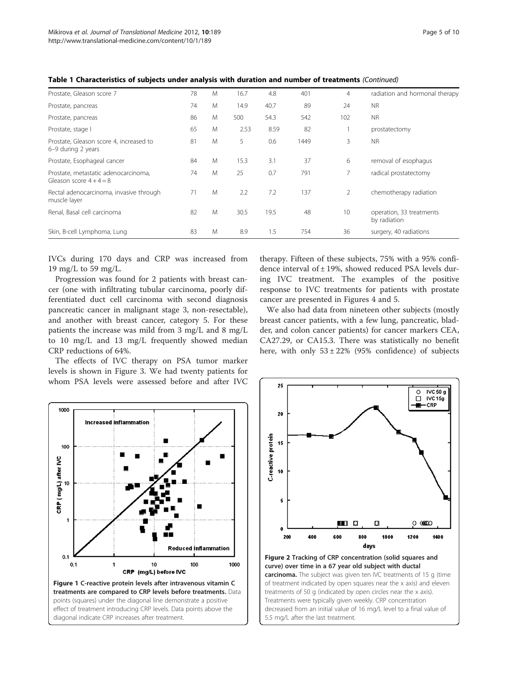| Prostate, Gleason score 7                                     | 78 | M | 16.7 | 4.8  | 401  | $\overline{4}$ | radiation and hormonal therapy           |
|---------------------------------------------------------------|----|---|------|------|------|----------------|------------------------------------------|
| Prostate, pancreas                                            | 74 | M | 14.9 | 40.7 | 89   | 24             | <b>NR</b>                                |
| Prostate, pancreas                                            | 86 | M | 500  | 54.3 | 542  | 102            | <b>NR</b>                                |
| Prostate, stage I                                             | 65 | M | 2.53 | 8.59 | 82   |                | prostatectomy                            |
| Prostate, Gleason score 4, increased to<br>6-9 during 2 years | 81 | M | 5    | 0.6  | 1449 | 3              | N <sub>R</sub>                           |
| Prostate, Esophageal cancer                                   | 84 | M | 15.3 | 3.1  | 37   | 6              | removal of esophagus                     |
| Prostate, metastatic adenocarcinoma,<br>Gleason score $4+4=8$ | 74 | M | 25   | 0.7  | 791  |                | radical prostatectomy                    |
| Rectal adenocarcinoma, invasive through<br>muscle layer       | 71 | M | 2.2  | 7.2  | 137  | 2              | chemotherapy radiation                   |
| Renal, Basal cell carcinoma                                   | 82 | M | 30.5 | 19.5 | 48   | 10             | operation, 33 treatments<br>by radiation |
| Skin, B-cell Lymphoma, Lung                                   | 83 | M | 8.9  | 1.5  | 754  | 36             | surgery, 40 radiations                   |

<span id="page-4-0"></span>Table 1 Characteristics of subjects under analysis with duration and number of treatments (Continued)

IVCs during 170 days and CRP was increased from 19 mg/L to 59 mg/L.

Progression was found for 2 patients with breast cancer (one with infiltrating tubular carcinoma, poorly differentiated duct cell carcinoma with second diagnosis pancreatic cancer in malignant stage 3, non-resectable), and another with breast cancer, category 5. For these patients the increase was mild from 3 mg/L and 8 mg/L to 10 mg/L and 13 mg/L frequently showed median CRP reductions of 64%.

The effects of IVC therapy on PSA tumor marker levels is shown in Figure [3](#page-5-0). We had twenty patients for whom PSA levels were assessed before and after IVC therapy. Fifteen of these subjects, 75% with a 95% confidence interval of ± 19%, showed reduced PSA levels during IVC treatment. The examples of the positive response to IVC treatments for patients with prostate cancer are presented in Figures [4](#page-6-0) and [5.](#page-6-0)

We also had data from nineteen other subjects (mostly breast cancer patients, with a few lung, pancreatic, bladder, and colon cancer patients) for cancer markers CEA, CA27.29, or CA15.3. There was statistically no benefit here, with only  $53 \pm 22\%$  (95% confidence) of subjects





decreased from an initial value of 16 mg/L level to a final value of

5.5 mg/L after the last treatment.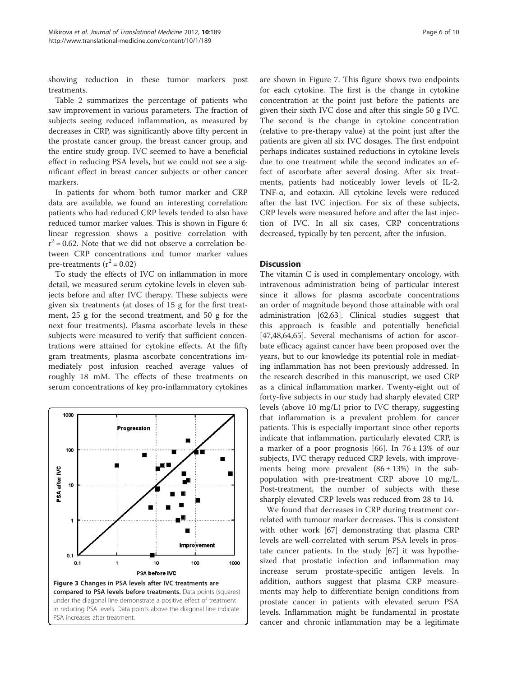<span id="page-5-0"></span>showing reduction in these tumor markers post treatments.

Table [2](#page-7-0) summarizes the percentage of patients who saw improvement in various parameters. The fraction of subjects seeing reduced inflammation, as measured by decreases in CRP, was significantly above fifty percent in the prostate cancer group, the breast cancer group, and the entire study group. IVC seemed to have a beneficial effect in reducing PSA levels, but we could not see a significant effect in breast cancer subjects or other cancer markers.

In patients for whom both tumor marker and CRP data are available, we found an interesting correlation: patients who had reduced CRP levels tended to also have reduced tumor marker values. This is shown in Figure [6](#page-7-0): linear regression shows a positive correlation with  $r^2$  = 0.62. Note that we did not observe a correlation between CRP concentrations and tumor marker values pre-treatments  $(r^2 = 0.02)$ 

To study the effects of IVC on inflammation in more detail, we measured serum cytokine levels in eleven subjects before and after IVC therapy. These subjects were given six treatments (at doses of 15 g for the first treatment, 25 g for the second treatment, and 50 g for the next four treatments). Plasma ascorbate levels in these subjects were measured to verify that sufficient concentrations were attained for cytokine effects. At the fifty gram treatments, plasma ascorbate concentrations immediately post infusion reached average values of roughly 18 mM. The effects of these treatments on serum concentrations of key pro-inflammatory cytokines



are shown in Figure [7.](#page-7-0) This figure shows two endpoints for each cytokine. The first is the change in cytokine concentration at the point just before the patients are given their sixth IVC dose and after this single 50 g IVC. The second is the change in cytokine concentration (relative to pre-therapy value) at the point just after the patients are given all six IVC dosages. The first endpoint perhaps indicates sustained reductions in cytokine levels due to one treatment while the second indicates an effect of ascorbate after several dosing. After six treatments, patients had noticeably lower levels of IL-2, TNF-α, and eotaxin. All cytokine levels were reduced after the last IVC injection. For six of these subjects, CRP levels were measured before and after the last injection of IVC. In all six cases, CRP concentrations decreased, typically by ten percent, after the infusion.

## **Discussion**

The vitamin C is used in complementary oncology, with intravenous administration being of particular interest since it allows for plasma ascorbate concentrations an order of magnitude beyond those attainable with oral administration [\[62,63\]](#page-9-0). Clinical studies suggest that this approach is feasible and potentially beneficial [[47,48,64,65\]](#page-9-0). Several mechanisms of action for ascorbate efficacy against cancer have been proposed over the years, but to our knowledge its potential role in mediating inflammation has not been previously addressed. In the research described in this manuscript, we used CRP as a clinical inflammation marker. Twenty-eight out of forty-five subjects in our study had sharply elevated CRP levels (above 10 mg/L) prior to IVC therapy, suggesting that inflammation is a prevalent problem for cancer patients. This is especially important since other reports indicate that inflammation, particularly elevated CRP, is a marker of a poor prognosis [\[66](#page-9-0)]. In  $76 \pm 13\%$  of our subjects, IVC therapy reduced CRP levels, with improvements being more prevalent  $(86 \pm 13%)$  in the subpopulation with pre-treatment CRP above 10 mg/L. Post-treatment, the number of subjects with these sharply elevated CRP levels was reduced from 28 to 14.

We found that decreases in CRP during treatment correlated with tumour marker decreases. This is consistent with other work [\[67](#page-9-0)] demonstrating that plasma CRP levels are well-correlated with serum PSA levels in prostate cancer patients. In the study [[67\]](#page-9-0) it was hypothesized that prostatic infection and inflammation may increase serum prostate-specific antigen levels. In addition, authors suggest that plasma CRP measurements may help to differentiate benign conditions from prostate cancer in patients with elevated serum PSA levels. Inflammation might be fundamental in prostate cancer and chronic inflammation may be a legitimate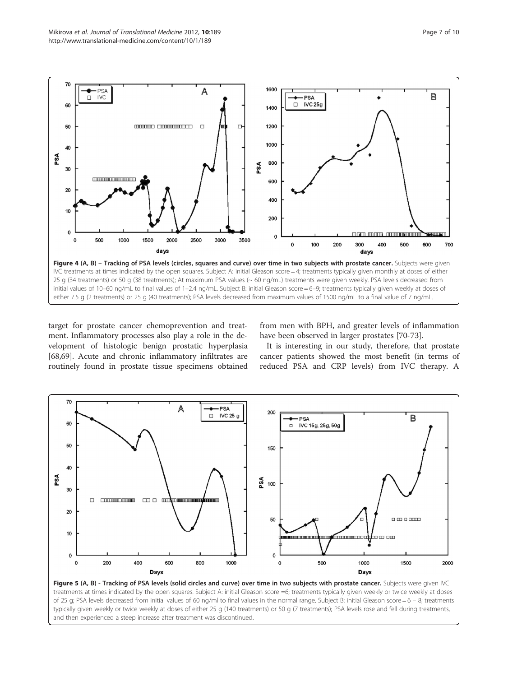<span id="page-6-0"></span>

target for prostate cancer chemoprevention and treatment. Inflammatory processes also play a role in the development of histologic benign prostatic hyperplasia [[68,69\]](#page-9-0). Acute and chronic inflammatory infiltrates are routinely found in prostate tissue specimens obtained

from men with BPH, and greater levels of inflammation have been observed in larger prostates [\[70-73](#page-9-0)].

It is interesting in our study, therefore, that prostate cancer patients showed the most benefit (in terms of reduced PSA and CRP levels) from IVC therapy. A



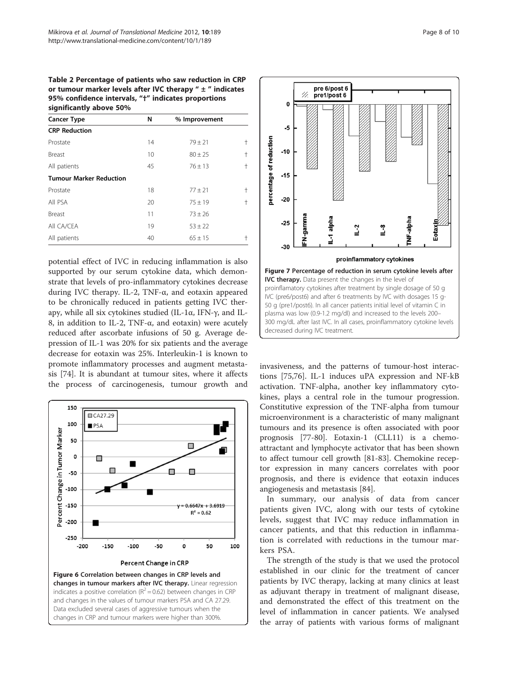<span id="page-7-0"></span>Table 2 Percentage of patients who saw reduction in CRP or tumour marker levels after IVC therapy  $" \pm "$  indicates 95% confidence intervals, "†" indicates proportions significantly above 50%

| 5.911111341111, 4.00012, 5.0001 |    |               |               |  |  |  |  |  |
|---------------------------------|----|---------------|---------------|--|--|--|--|--|
| <b>Cancer Type</b>              | N  | % Improvement |               |  |  |  |  |  |
| <b>CRP Reduction</b>            |    |               |               |  |  |  |  |  |
| Prostate                        | 14 | $79 \pm 21$   | $^\mathrm{+}$ |  |  |  |  |  |
| Breast                          | 10 | $80 \pm 25$   | $^\mathrm{+}$ |  |  |  |  |  |
| All patients                    | 45 | $76 \pm 13$   | $^\mathrm{+}$ |  |  |  |  |  |
| <b>Tumour Marker Reduction</b>  |    |               |               |  |  |  |  |  |
| Prostate                        | 18 | $77 + 21$     | $^\mathrm{+}$ |  |  |  |  |  |
| All PSA                         | 20 | $75 \pm 19$   | $^\mathrm{+}$ |  |  |  |  |  |
| Breast                          | 11 | $73 \pm 26$   |               |  |  |  |  |  |
| All CA/CEA                      | 19 | $53 \pm 22$   |               |  |  |  |  |  |
| All patients                    | 40 | $65 + 15$     | t             |  |  |  |  |  |

potential effect of IVC in reducing inflammation is also supported by our serum cytokine data, which demonstrate that levels of pro-inflammatory cytokines decrease during IVC therapy. IL-2, TNF-α, and eotaxin appeared to be chronically reduced in patients getting IVC therapy, while all six cytokines studied (IL-1α, IFN-γ, and IL-8, in addition to IL-2, TNF-α, and eotaxin) were acutely reduced after ascorbate infusions of 50 g. Average depression of IL-1 was 20% for six patients and the average decrease for eotaxin was 25%. Interleukin-1 is known to promote inflammatory processes and augment metastasis [[74\]](#page-9-0). It is abundant at tumour sites, where it affects the process of carcinogenesis, tumour growth and





invasiveness, and the patterns of tumour-host interactions [[75](#page-9-0),[76](#page-9-0)]. IL-1 induces uPA expression and NF-kB activation. TNF-alpha, another key inflammatory cytokines, plays a central role in the tumour progression. Constitutive expression of the TNF-alpha from tumour microenvironment is a characteristic of many malignant tumours and its presence is often associated with poor prognosis [\[77](#page-9-0)-[80](#page-9-0)]. Eotaxin-1 (CLL11) is a chemoattractant and lymphocyte activator that has been shown to affect tumour cell growth [\[81-83](#page-9-0)]. Chemokine receptor expression in many cancers correlates with poor prognosis, and there is evidence that eotaxin induces angiogenesis and metastasis [[84\]](#page-9-0).

In summary, our analysis of data from cancer patients given IVC, along with our tests of cytokine levels, suggest that IVC may reduce inflammation in cancer patients, and that this reduction in inflammation is correlated with reductions in the tumour markers PSA.

The strength of the study is that we used the protocol established in our clinic for the treatment of cancer patients by IVC therapy, lacking at many clinics at least as adjuvant therapy in treatment of malignant disease, and demonstrated the effect of this treatment on the level of inflammation in cancer patients. We analysed the array of patients with various forms of malignant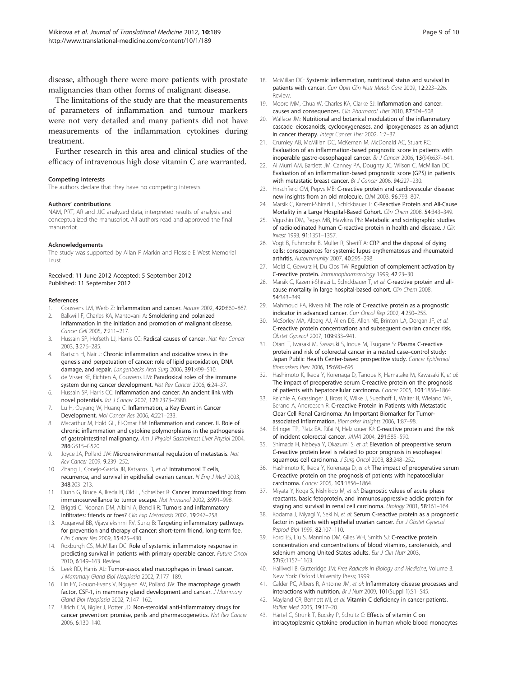<span id="page-8-0"></span>disease, although there were more patients with prostate malignancies than other forms of malignant disease.

The limitations of the study are that the measurements of parameters of inflammation and tumour markers were not very detailed and many patients did not have measurements of the inflammation cytokines during treatment.

Further research in this area and clinical studies of the efficacy of intravenous high dose vitamin C are warranted.

#### Competing interests

The authors declare that they have no competing interests.

#### Authors' contributions

NAM, PRT, AR and JJC analyzed data, interpreted results of analysis and conceptualized the manuscript. All authors read and approved the final manuscript.

#### Acknowledgements

The study was supported by Allan P Markin and Flossie E West Memorial **Trust.** 

#### Received: 11 June 2012 Accepted: 5 September 2012 Published: 11 September 2012

#### References

- 1. Coussens LM, Werb Z: Inflammation and cancer. Nature 2002, 420:860-867.
- 2. Balkwill F, Charles KA, Mantovani A: Smoldering and polarized inflammation in the initiation and promotion of malignant disease. Cancer Cell 2005, 7:211–217.
- Hussain SP, Hofseth LJ, Harris CC: Radical causes of cancer. Nat Rev Cancer 2003, 3:276–285.
- 4. Bartsch H, Nair J: Chronic inflammation and oxidative stress in the genesis and perpetuation of cancer: role of lipid peroxidation, DNA damage, and repair. Langenbecks Arch Surg 2006, 391:499–510.
- de Visser KE, Eichten A, Coussens LM: Paradoxical roles of the immune system during cancer development. Nat Rev Cancer 2006, 6:24–37.
- 6. Hussain SP, Harris CC: Inflammation and cancer: An ancient link with novel potentials. Int J Cancer 2007, 121:2373–2380.
- 7. Lu H, Ouyang W, Huang C: Inflammation, a Key Event in Cancer Development. Mol Cancer Res 2006, 4:221–233.
- 8. Macarthur M, Hold GL, El-Omar EM: Inflammation and cancer. II. Role of chronic inflammation and cytokine polymorphisms in the pathogenesis of gastrointestinal malignancy. Am J Physiol Gastrointest Liver Physiol 2004, 286:G515–G520.
- 9. Joyce JA, Pollard JW: Microenvironmental regulation of metastasis. Nat Rev Cancer 2009, 9:239–252.
- 10. Zhang L, Conejo-Garcia JR, Katsaros D, et al: Intratumoral T cells, recurrence, and survival in epithelial ovarian cancer. N Eng J Med 2003, 348:203–213.
- 11. Dunn G, Bruce A, Ikeda H, Old L, Schreiber R: Cancer immunoediting: from immunosurveillance to tumor escape. Nat Immunol 2002, 3:991–998.
- 12. Brigati C, Noonan DM, Albini A, Benelli R: Tumors and inflammatory infiltrates: friends or foes? Clin Exp Metastasis 2002, 19:247-258.
- 13. Aggarwal BB, Vijayalekshmi RV, Sung B: Targeting inflammatory pathways for prevention and therapy of cancer: short-term friend, long-term foe. Clin Cancer Res 2009, 15:425–430.
- 14. Roxburgh CS, McMillan DC: Role of systemic inflammatory response in predicting survival in patients with primary operable cancer. Future Oncol 2010, 6:149–163. Review.
- 15. Leek RD, Harris AL: Tumor-associated macrophages in breast cancer. J Mammary Gland Biol Neoplasia 2002, 7:177–189.
- 16. Lin EY, Gouon-Evans V, Nguyen AV, Pollard JW: The macrophage growth factor, CSF-1, in mammary gland development and cancer. J Mammary Gland Biol Neoplasia 2002, 7:147–162.
- 17. Ulrich CM, Bigler J, Potter JD: Non-steroidal anti-inflammatory drugs for cancer prevention: promise, perils and pharmacogenetics. Nat Rev Cancer 2006, 6:130–140.
- 18. McMillan DC: Systemic inflammation, nutritional status and survival in patients with cancer. Curr Opin Clin Nutr Metab Care 2009, 12:223-226. Review.
- 19. Moore MM, Chua W, Charles KA, Clarke SJ: Inflammation and cancer: causes and consequences. Clin Pharmacol Ther 2010, 87:504–508.
- 20. Wallace JM: Nutritional and botanical modulation of the inflammatory cascade–eicosanoids, cyclooxygenases, and lipoxygenases–as an adjunct in cancer therapy. Integr Cancer Ther 2002, 1:7-37.
- 21. Crumley AB, McMillan DC, McKernan M, McDonald AC, Stuart RC: Evaluation of an inflammation-based prognostic score in patients with inoperable gastro-oesophageal cancer. Br J Cancer 2006, 13(94):637–641.
- 22. Al Murri AM, Bartlett JM, Canney PA, Doughty JC, Wilson C, McMillan DC: Evaluation of an inflammation-based prognostic score (GPS) in patients with metastatic breast cancer. Br J Cancer 2006, 94:227–230.
- 23. Hirschfield GM, Pepys MB: C-reactive protein and cardiovascular disease: new insights from an old molecule. QJM 2003, 96:793–807.
- 24. Marsik C, Kazemi-Shirazi L, Schickbauer T: C-Reactive Protein and All-Cause Mortality in a Large Hospital-Based Cohort. Clin Chem 2008, 54:343–349.
- 25. Vigushin DM, Pepys MB, Hawkins PN: Metabolic and scintigraphic studies of radioiodinated human C-reactive protein in health and disease. J Clin Invest 1993, 91:1351–1357.
- 26. Vogt B, Fuhrnrohr B, Muller R, Sheriff A: CRP and the disposal of dying cells: consequences for systemic lupus erythematosus and rheumatoid arthritis. Autoimmunity 2007, 40:295–298.
- 27. Mold C, Gewurz H, Du Clos TW: Regulation of complement activation by C-reactive protein. Immunopharmacology 1999, 42:23–30.
- 28. Marsik C, Kazemi-Shirazi L, Schickbauer T, et al: C-reactive protein and allcause mortality in large hospital-based cohort. Clin Chem 2008, 54:343–349.
- 29. Mahmoud FA, Rivera NI: The role of C-reactive protein as a prognostic indicator in advanced cancer. Curr Oncol Rep 2002, 4:250–255.
- 30. McSorley MA, Alberg AJ, Allen DS, Allen NE, Brinton LA, Dorgan JF, et al: C-reactive protein concentrations and subsequent ovarian cancer risk. Obstet Gynecol 2007, 109:933–941.
- 31. Otani T, Iwasaki M, Sasazuki S, Inoue M, Tsugane S: Plasma C-reactive protein and risk of colorectal cancer in a nested case–control study: Japan Public Health Center-based prospective study. Cancer Epidemiol Biomarkers Prev 2006, 15:690–695.
- 32. Hashimoto K, Ikeda Y, Korenaga D, Tanoue K, Hamatake M, Kawasaki K, et al: The impact of preoperative serum C-reactive protein on the prognosis of patients with hepatocellular carcinoma. Cancer 2005, 103:1856–1864.
- 33. Reichle A, Grassinger J, Bross K, Wilke J, Suedhoff T, Walter B, Wieland WF, Berand A, Andreesen R: C-reactive Protein in Patients with Metastatic Clear Cell Renal Carcinoma: An Important Biomarker for Tumorassociated Inflammation. Biomarker Insights 2006, 1:87–98.
- 34. Erlinger TP, Platz EA, Rifai N, Helzlsouer KJ: C-reactive protein and the risk of incident colorectal cancer. JAMA 2004, 291:585–590.
- 35. Shimada H, Nabeya Y, Okazumi S, et al: Elevation of preoperative serum C-reactive protein level is related to poor prognosis in esophageal squamous cell carcinoma. J Surg Oncol 2003, 83:248–252.
- 36. Hashimoto K, Ikeda Y, Korenaga D, et al: The impact of preoperative serum C-reactive protein on the prognosis of patients with hepatocellular carcinoma. Cancer 2005, 103:1856–1864.
- 37. Miyata Y, Koga S, Nishikido M, et al: Diagnostic values of acute phase reactants, basic fetoprotein, and immunosuppressive acidic protein for staging and survival in renal cell carcinoma. Urology 2001, 58:161–164.
- Kodama J, Miyagi Y, Seki N, et al: Serum C-reactive protein as a prognostic factor in patients with epithelial ovarian cancer. Eur J Obstet Gynecol Reprod Biol 1999, 82:107–110.
- 39. Ford ES, Liu S, Mannino DM, Giles WH, Smith SJ: C-reactive protein concentration and concentrations of blood vitamins, carotenoids, and selenium among United States adults. Eur J Clin Nutr 2003, 57(9):1157–1163.
- 40. Halliwell B, Gutteridge JM: Free Radicals in Biology and Medicine, Volume 3. New York: Oxford University Press; 1999.
- 41. Calder PC, Albers R, Antoine JM, et al: Inflammatory disease processes and interactions with nutrition. Br J Nutr 2009, 101(Suppl 1):S1–S45.
- 42. Mayland CR, Bennett MI, et al: Vitamin C deficiency in cancer patients. Palliat Med 2005, 19:17–20.
- 43. Härtel C, Strunk T, Bucsky P, Schultz C: Effects of vitamin C on intracytoplasmic cytokine production in human whole blood monocytes